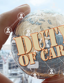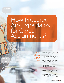# How Prepared Are Expatriates for Global Assignments?

By Kenneth Burgess, Leidos Health and Neill M. Carson, Ph.D., International Assignment Profile Inc.

Monitor Work Conditions

**Protecting** employees overseas is essential more than ever.

Dispatching expatriates, families and business travelers to offshore locations today is a high-risk proposition for the organization and its assignees, mandating adherence to Duty of Care (DOC) responsibilities — moral and legal obligations for employers to protect the health, safety and security of employees and families wherever they work, so far as is practically possible.

Despite the growing security issues, the global nature of operations and supply chains will lead more workers to live or travel internationally to do business. Respondents to PriceWaterhouseCoopers' "Talent Mobility 2020" study predict expat assignments will grow from an average of 200 per company in 2008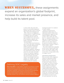# WHEN SUCCESSFUL, these assignments expand an organization's global footprint, increase its sales and market presence, and help build its talent pool.

to 375 by 2020. That nearly 50% growth in cross-border assignments indicates that DOC will be an increasingly critical risk-management tool.

DOC, which was an enlightened business practice, is rapidly becoming an obligation with severe penalties for neglecting the moral and legal standards of care and concern for an expatriate employee and family's well-being, both physical and psychological.

For United States-based businesses, Duty of Care falls under Occupational Safety and Health Administration (OSHA) regulations, specifically Section 5(a). In countries with specific DOC legislation, including at least eight Western nations, the laws protect not only safety and health concerns for expatriate employees and their family members but also their mental health, particularly related to psychological stress and wellness. For example, the United Kingdom has criminal as well as civil penalties for violations

### Defining DOC Legality

Duty of Care (DOC) is a legal obligation imposed on an individual or company requiring adherence to a standard of reasonable care while performing any acts that could foreseeably lead to harm or injury. DOC applies to all of an organization's employees, including those living/working abroad (expatriates and their accompanying family members) and business travelers. If a company's actions toward an expatriate and his/her family do not meet a reasonable standard of care, such deficiency could be considered negligence.

involving the death of an employee or family member.

Analyses by HR and survey organizations indicate that U.S. organizations fall far behind others in providing DOC support for international assignees and business travelers. Those studies also show that U.S. companies continue to have high rates of assignment failure as compared to others, and that those failures are most often related to the spouse (or partner), assignee or family member's inability to adapt to a host country's culture.

This article explains how expanding on the services required under Duty of Care will not only enable companies to assure DOC compliance, but can also have a strong, positive effect on assignee success.

International Assignments When successful, these assignments expand an organization's global footprint, increase its sales and market presence, and help build its talent pool. Failures, however, exact huge costs, from the expense of initially sending assignees and families offshore to unrealized business opportunities. Moreover, assignee/family dissatisfaction with the company frequently results in key employees leaving the organization shortly after returning stateside, HR management research shows. Failure here includes not only the need for early repatriation, but also the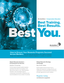

**WorldatWork**. Compensation Education





**How to Ensure Your Rewards Programs Succeed Across Borders.** Get the help and guidance you need to analyze, design and implement successful rewards programs in a variety of countries.

### Global Rewards Analysis – A Framework for Success

### **Anytime | E-Learning**

Find the balance between global programs and those that need to be localized. You'll take home an easy-to-use "Global Rewards Checklist" that will facilitate regional compensation and benefits comparisons and recommendations for any number of countries.

### Global Rewards Strategy and Design

**Aug. 23-24 | Dallas**

Explore global trends and learn how to design and implement a strategy that fits your organization's reward philosophy and that has the right regional and country variation.

### **Register today**

**worldatwork.org/global**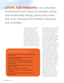**LIVING AND WORKING** in an unfamiliar environment and culture is complex, tricky and emotionally taxing, particularly when one is far removed from familiar resources and remedies.

> inability to navigate an unfamiliar cultural landscape or failure to achieve business objectives.

Living and working in an unfamiliar environment and culture is complex, tricky and emotionally taxing, particularly when one is far removed from familiar resources and remedies. Research shows that U.S. organizations have done well in providing assignees with their legal, financial and "settling-in" needs, but not so well with regard to social support. For example, the majority of those interviewed in a 2015 study

### Duty of Care To-Do List

- ❙ Provide a safe working environment (including hotels, airlines, rental cars, etc.)
- ❙ Provide relevant information and instruction on known potential hazards and threats
- ❙ Provide supervision to ensure worker safety at all times
- ❙ Continually monitor the health and safety of employees and their families
- ❙ Employ qualified people to provide health and safety education and advice
- **Ⅰ Monitor conditions at all business locations**
- ❙ Put in place and regularly review emergency evacuation plans/services
- ❙ Maintain appropriate records to document proper service implementation.

conducted by Cigna and the National Foreign Trade Council responded that a lack of ongoing communication from the home office and the need for in-country social support were major assignment deficiencies.

Yet, organizations continue to experience high rates of failure because time and again they neglect the importance of predeparture training and ongoing support to assignment safety and success. Annual losses due to failed assignments are estimated to cost U.S. businesses from \$2 to \$2.5 billion annually, with reported failure rates as high as 25% according to a Georgetown University study. Rates are estimated to be even higher when sending employees to emerging economies.

International legal trends continue to shift the burden for mitigating risk squarely onto companies, with DOC becoming a central concept in assessing an organization's obligations toward its employees. An employer can be found negligent by failing to do everything reasonable and necessary to keep employees safe from harm. The health focus has broadened, and now includes mental as well as physical health issues.

Some proactive business leaders in the U.S. are already incorporating DOC practices into their planning in order to focus their riskmanagement activities and ensure organizational compliance. This has been true of business leaders in the United Kingdom, Western Europe,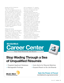Australia and New Zealand for more than a decade.

Duty of Care litigation has been on the rise, particularly in Western countries where DOC laws are securely in place. In those countries, employees do not have to prove anything. They only have to make a reasonable argument that their company was negligent, even if there is evidence that the company was careful. A 2011 article by White & Case LLP stated that "liability exposure in the overseas-employee-injury context can be significant, sometimes it's 'bet-thecompany' litigation."

### Failing the Family

Despite the research and information available on the topic, U.S. companies continue to disregard the critical area of family when preparing candidates. In failing to assure that help, guidance and support are available both prior to departure

and on assignment, U.S. organizations also continue to overlook the critical area of repatriation and repatriation planning.

A recently released study from Chestnut Global Partners has serious implications for the understanding of the "psychologically safe workplace" and the inherent stress of an international assignment, not only on the employee but also on the spouse/partner and an accompanying family. In this study, expatriates were compared with a matched sample of non-expats, and the expatriates showed increased incidences of almost every major mental-health dysfunction, including depression, anxiety, stress disorder, family dysfunction as well as increased rates of alcohol and drug use.

The inescapable conclusion from this study is that an international assignment produces a demonstrably increased risk for the employee





## Stop Wading Through a Sea of Unqualified Résumés

- Targeted Applicant Database
- Manageable Postings



- Auto Alerts for Résumé Matches
- Expand Reach to Six Job Boards

Gain the Power of Focus! worldatwork.org/careercenter